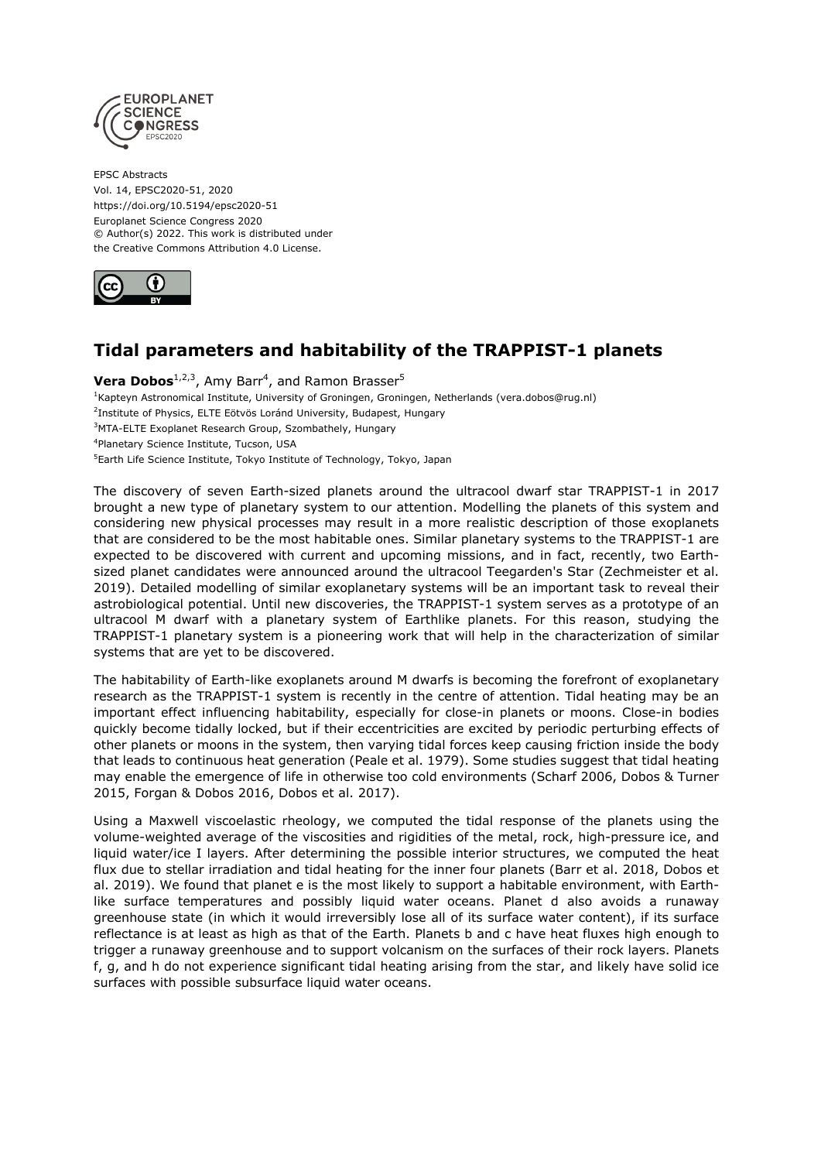

EPSC Abstracts Vol. 14, EPSC2020-51, 2020 https://doi.org/10.5194/epsc2020-51 Europlanet Science Congress 2020 © Author(s) 2022. This work is distributed under the Creative Commons Attribution 4.0 License.



## **Tidal parameters and habitability of the TRAPPIST-1 planets**

**Vera Dobos**<sup>1,2,3</sup>, Amy Barr<sup>4</sup>, and Ramon Brasser<sup>5</sup> <sup>1</sup>Kapteyn Astronomical Institute, University of Groningen, Groningen, Netherlands (vera.dobos@rug.nl) <sup>2</sup>Institute of Physics, ELTE Eötvös Loránd University, Budapest, Hungary <sup>3</sup>MTA-ELTE Exoplanet Research Group, Szombathely, Hungary 4 Planetary Science Institute, Tucson, USA <sup>5</sup>Earth Life Science Institute, Tokyo Institute of Technology, Tokyo, Japan

The discovery of seven Earth-sized planets around the ultracool dwarf star TRAPPIST-1 in 2017 brought a new type of planetary system to our attention. Modelling the planets of this system and considering new physical processes may result in a more realistic description of those exoplanets that are considered to be the most habitable ones. Similar planetary systems to the TRAPPIST-1 are expected to be discovered with current and upcoming missions, and in fact, recently, two Earthsized planet candidates were announced around the ultracool Teegarden's Star (Zechmeister et al. 2019). Detailed modelling of similar exoplanetary systems will be an important task to reveal their astrobiological potential. Until new discoveries, the TRAPPIST-1 system serves as a prototype of an ultracool M dwarf with a planetary system of Earthlike planets. For this reason, studying the TRAPPIST-1 planetary system is a pioneering work that will help in the characterization of similar systems that are yet to be discovered.

The habitability of Earth-like exoplanets around M dwarfs is becoming the forefront of exoplanetary research as the TRAPPIST-1 system is recently in the centre of attention. Tidal heating may be an important effect influencing habitability, especially for close-in planets or moons. Close-in bodies quickly become tidally locked, but if their eccentricities are excited by periodic perturbing effects of other planets or moons in the system, then varying tidal forces keep causing friction inside the body that leads to continuous heat generation (Peale et al. 1979). Some studies suggest that tidal heating may enable the emergence of life in otherwise too cold environments (Scharf 2006, Dobos & Turner 2015, Forgan & Dobos 2016, Dobos et al. 2017).

Using a Maxwell viscoelastic rheology, we computed the tidal response of the planets using the volume-weighted average of the viscosities and rigidities of the metal, rock, high-pressure ice, and liquid water/ice I layers. After determining the possible interior structures, we computed the heat flux due to stellar irradiation and tidal heating for the inner four planets (Barr et al. 2018, Dobos et al. 2019). We found that planet e is the most likely to support a habitable environment, with Earthlike surface temperatures and possibly liquid water oceans. Planet d also avoids a runaway greenhouse state (in which it would irreversibly lose all of its surface water content), if its surface reflectance is at least as high as that of the Earth. Planets b and c have heat fluxes high enough to trigger a runaway greenhouse and to support volcanism on the surfaces of their rock layers. Planets f, g, and h do not experience significant tidal heating arising from the star, and likely have solid ice surfaces with possible subsurface liquid water oceans.